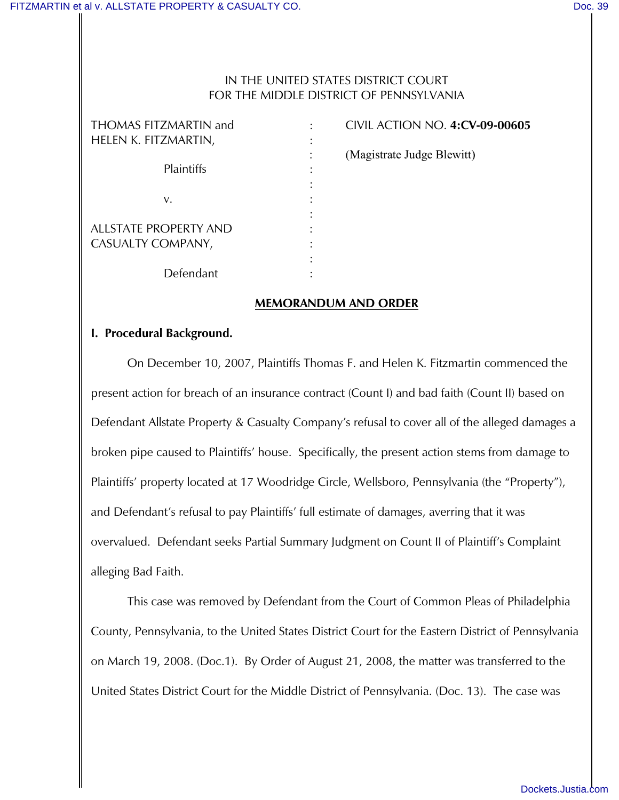### IN THE UNITED STATES DISTRICT COURT FOR THE MIDDLE DISTRICT OF PENNSYLVANIA

| THOMAS FITZMARTIN and                      | CIVIL ACTION NO. 4:CV-09   |
|--------------------------------------------|----------------------------|
| helen K. fitzmartin,                       |                            |
| Plaintiffs                                 | (Magistrate Judge Blewitt) |
| v.                                         |                            |
| ALLSTATE PROPERTY AND<br>CASUALTY COMPANY, |                            |
|                                            |                            |
| Defendant                                  |                            |

THOMAS FITZMARTIN and : CIVIL ACTION NO. **4:CV-09-00605** : (Magistrate Judge Blewitt)

### **MEMORANDUM AND ORDER**

### **I. Procedural Background.**

On December 10, 2007, Plaintiffs Thomas F. and Helen K. Fitzmartin commenced the present action for breach of an insurance contract (Count I) and bad faith (Count II) based on Defendant Allstate Property & Casualty Company's refusal to cover all of the alleged damages a broken pipe caused to Plaintiffs' house. Specifically, the present action stems from damage to Plaintiffs' property located at 17 Woodridge Circle, Wellsboro, Pennsylvania (the "Property"), and Defendant's refusal to pay Plaintiffs' full estimate of damages, averring that it was overvalued. Defendant seeks Partial Summary Judgment on Count II of Plaintiff's Complaint alleging Bad Faith.

This case was removed by Defendant from the Court of Common Pleas of Philadelphia County, Pennsylvania, to the United States District Court for the Eastern District of Pennsylvania on March 19, 2008. (Doc.1). By Order of August 21, 2008, the matter was transferred to the United States District Court for the Middle District of Pennsylvania. (Doc. 13). The case was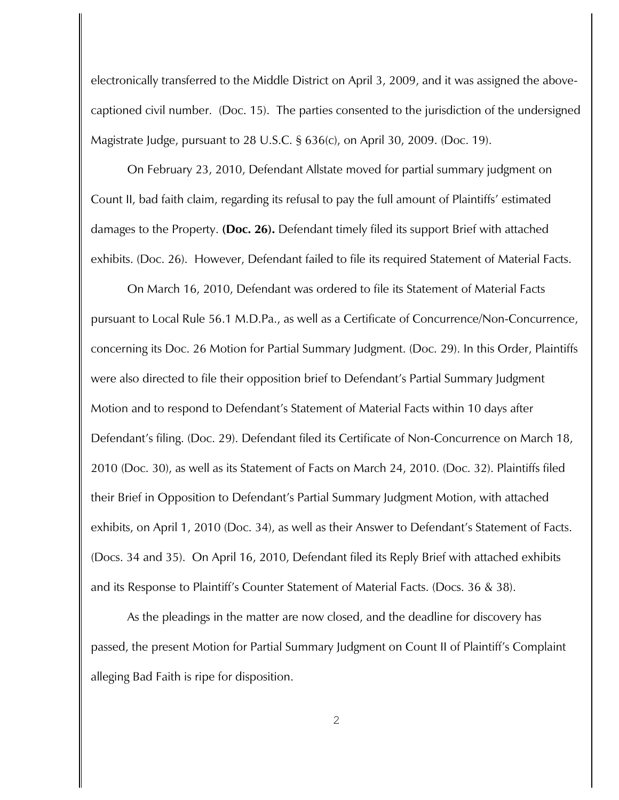electronically transferred to the Middle District on April 3, 2009, and it was assigned the abovecaptioned civil number. (Doc. 15). The parties consented to the jurisdiction of the undersigned Magistrate Judge, pursuant to 28 U.S.C. § 636(c), on April 30, 2009. (Doc. 19).

On February 23, 2010, Defendant Allstate moved for partial summary judgment on Count II, bad faith claim, regarding its refusal to pay the full amount of Plaintiffs' estimated damages to the Property. **(Doc. 26).** Defendant timely filed its support Brief with attached exhibits. (Doc. 26). However, Defendant failed to file its required Statement of Material Facts.

On March 16, 2010, Defendant was ordered to file its Statement of Material Facts pursuant to Local Rule 56.1 M.D.Pa., as well as a Certificate of Concurrence/Non-Concurrence, concerning its Doc. 26 Motion for Partial Summary Judgment. (Doc. 29). In this Order, Plaintiffs were also directed to file their opposition brief to Defendant's Partial Summary Judgment Motion and to respond to Defendant's Statement of Material Facts within 10 days after Defendant's filing. (Doc. 29). Defendant filed its Certificate of Non-Concurrence on March 18, 2010 (Doc. 30), as well as its Statement of Facts on March 24, 2010. (Doc. 32). Plaintiffs filed their Brief in Opposition to Defendant's Partial Summary Judgment Motion, with attached exhibits, on April 1, 2010 (Doc. 34), as well as their Answer to Defendant's Statement of Facts. (Docs. 34 and 35). On April 16, 2010, Defendant filed its Reply Brief with attached exhibits and its Response to Plaintiff's Counter Statement of Material Facts. (Docs. 36 & 38).

As the pleadings in the matter are now closed, and the deadline for discovery has passed, the present Motion for Partial Summary Judgment on Count II of Plaintiff's Complaint alleging Bad Faith is ripe for disposition.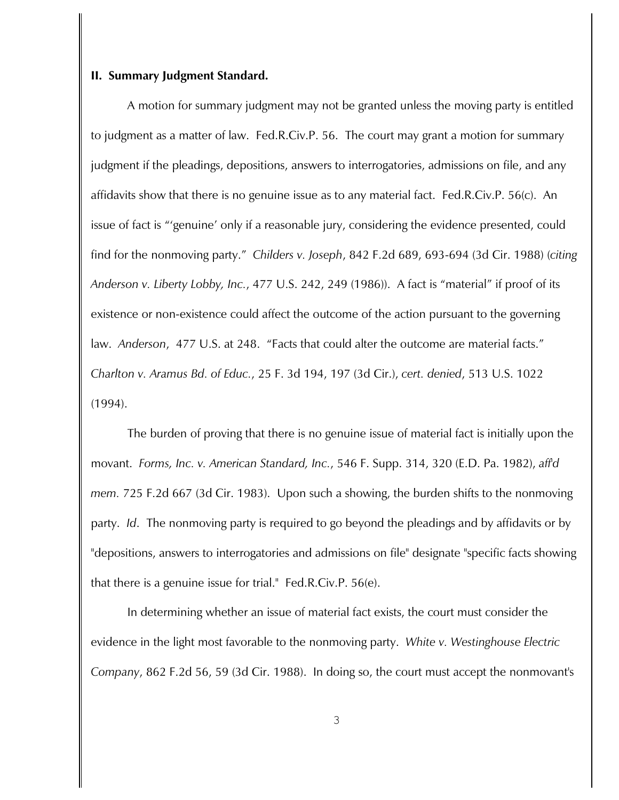#### **II. Summary Judgment Standard.**

A motion for summary judgment may not be granted unless the moving party is entitled to judgment as a matter of law. Fed.R.Civ.P. 56. The court may grant a motion for summary judgment if the pleadings, depositions, answers to interrogatories, admissions on file, and any affidavits show that there is no genuine issue as to any material fact. Fed.R.Civ.P. 56(c). An issue of fact is "'genuine' only if a reasonable jury, considering the evidence presented, could find for the nonmoving party." *Childers v. Joseph*, 842 F.2d 689, 693-694 (3d Cir. 1988) (*citing Anderson v. Liberty Lobby, Inc.*, 477 U.S. 242, 249 (1986)). A fact is "material" if proof of its existence or non-existence could affect the outcome of the action pursuant to the governing law. *Anderson*, 477 U.S. at 248. "Facts that could alter the outcome are material facts." *Charlton v. Aramus Bd. of Educ.*, 25 F. 3d 194, 197 (3d Cir.), *cert. denied*, 513 U.S. 1022 (1994).

The burden of proving that there is no genuine issue of material fact is initially upon the movant. *Forms, Inc. v. American Standard, Inc.*, 546 F. Supp. 314, 320 (E.D. Pa. 1982), *aff'd mem.* 725 F.2d 667 (3d Cir. 1983). Upon such a showing, the burden shifts to the nonmoving party. *Id*. The nonmoving party is required to go beyond the pleadings and by affidavits or by "depositions, answers to interrogatories and admissions on file" designate "specific facts showing that there is a genuine issue for trial." Fed.R.Civ.P. 56(e).

In determining whether an issue of material fact exists, the court must consider the evidence in the light most favorable to the nonmoving party. *White v. Westinghouse Electric Company*, 862 F.2d 56, 59 (3d Cir. 1988). In doing so, the court must accept the nonmovant's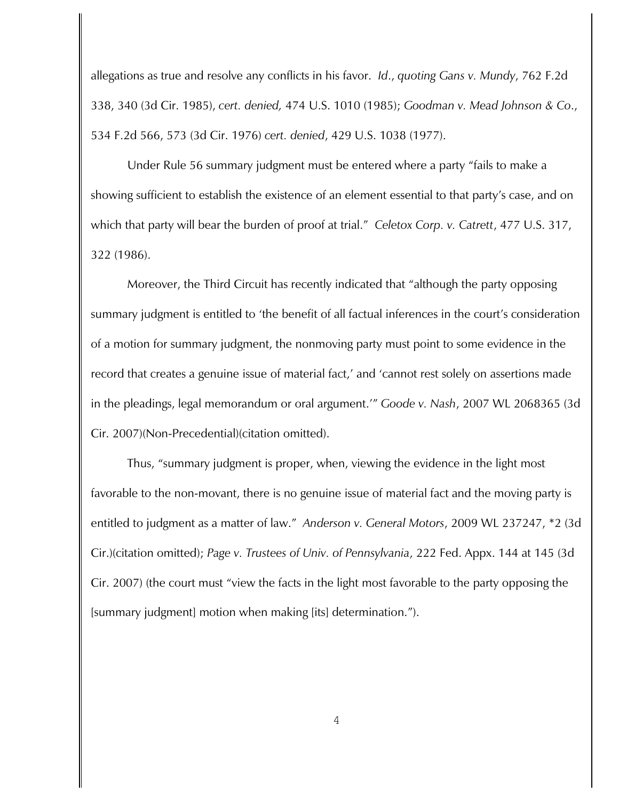allegations as true and resolve any conflicts in his favor. *Id*., *quoting Gans v. Mundy*, 762 F.2d 338, 340 (3d Cir. 1985), *cert. denied,* 474 U.S. 1010 (1985); *Goodman v. Mead Johnson & Co*., 534 F.2d 566, 573 (3d Cir. 1976) *cert. denied*, 429 U.S. 1038 (1977).

Under Rule 56 summary judgment must be entered where a party "fails to make a showing sufficient to establish the existence of an element essential to that party's case, and on which that party will bear the burden of proof at trial." *Celetox Corp. v. Catrett*, 477 U.S. 317, 322 (1986).

Moreover, the Third Circuit has recently indicated that "although the party opposing summary judgment is entitled to 'the benefit of all factual inferences in the court's consideration of a motion for summary judgment, the nonmoving party must point to some evidence in the record that creates a genuine issue of material fact,' and 'cannot rest solely on assertions made in the pleadings, legal memorandum or oral argument.'" *Goode v. Nash*, 2007 WL 2068365 (3d Cir. 2007)(Non-Precedential)(citation omitted).

 Thus, "summary judgment is proper, when, viewing the evidence in the light most favorable to the non-movant, there is no genuine issue of material fact and the moving party is entitled to judgment as a matter of law." *Anderson v. General Motors*, 2009 WL 237247, \*2 (3d Cir.)(citation omitted); *Page v. Trustees of Univ. of Pennsylvania*, 222 Fed. Appx. 144 at 145 (3d Cir. 2007) (the court must "view the facts in the light most favorable to the party opposing the [summary judgment] motion when making [its] determination.").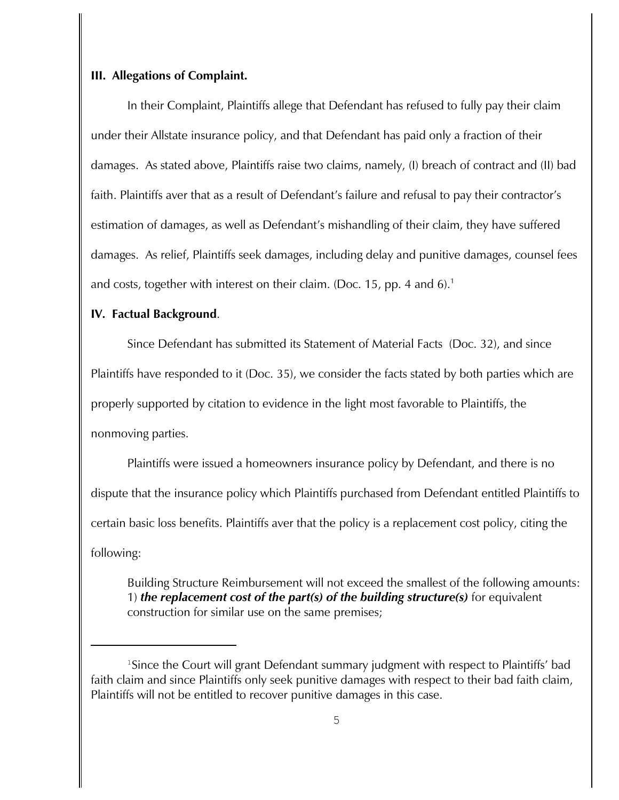#### **III. Allegations of Complaint.**

In their Complaint, Plaintiffs allege that Defendant has refused to fully pay their claim under their Allstate insurance policy, and that Defendant has paid only a fraction of their damages. As stated above, Plaintiffs raise two claims, namely, (I) breach of contract and (II) bad faith. Plaintiffs aver that as a result of Defendant's failure and refusal to pay their contractor's estimation of damages, as well as Defendant's mishandling of their claim, they have suffered damages. As relief, Plaintiffs seek damages, including delay and punitive damages, counsel fees and costs, together with interest on their claim. (Doc. 15, pp. 4 and 6).<sup>1</sup>

#### **IV. Factual Background**.

Since Defendant has submitted its Statement of Material Facts (Doc. 32), and since Plaintiffs have responded to it (Doc. 35), we consider the facts stated by both parties which are properly supported by citation to evidence in the light most favorable to Plaintiffs, the nonmoving parties.

Plaintiffs were issued a homeowners insurance policy by Defendant, and there is no dispute that the insurance policy which Plaintiffs purchased from Defendant entitled Plaintiffs to certain basic loss benefits. Plaintiffs aver that the policy is a replacement cost policy, citing the following:

Building Structure Reimbursement will not exceed the smallest of the following amounts: 1) *the replacement cost of the part(s) of the building structure(s)* for equivalent construction for similar use on the same premises;

<sup>&</sup>lt;sup>1</sup>Since the Court will grant Defendant summary judgment with respect to Plaintiffs' bad faith claim and since Plaintiffs only seek punitive damages with respect to their bad faith claim, Plaintiffs will not be entitled to recover punitive damages in this case.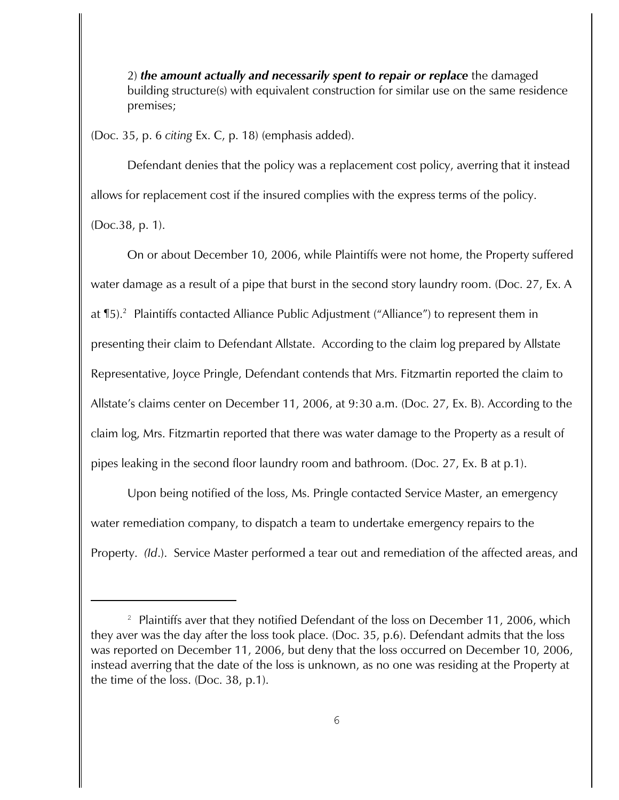2) *the amount actually and necessarily spent to repair or replace* the damaged building structure(s) with equivalent construction for similar use on the same residence premises;

(Doc. 35, p. 6 *citing* Ex. C, p. 18) (emphasis added).

Defendant denies that the policy was a replacement cost policy, averring that it instead allows for replacement cost if the insured complies with the express terms of the policy.

(Doc.38, p. 1).

On or about December 10, 2006, while Plaintiffs were not home, the Property suffered water damage as a result of a pipe that burst in the second story laundry room. (Doc. 27, Ex. A at  $\P$ 5). $^2$  Plaintiffs contacted Alliance Public Adjustment ("Alliance") to represent them in presenting their claim to Defendant Allstate. According to the claim log prepared by Allstate Representative, Joyce Pringle, Defendant contends that Mrs. Fitzmartin reported the claim to Allstate's claims center on December 11, 2006, at 9:30 a.m. (Doc. 27, Ex. B). According to the claim log, Mrs. Fitzmartin reported that there was water damage to the Property as a result of pipes leaking in the second floor laundry room and bathroom. (Doc. 27, Ex. B at p.1).

Upon being notified of the loss, Ms. Pringle contacted Service Master, an emergency water remediation company, to dispatch a team to undertake emergency repairs to the Property. *(Id*.). Service Master performed a tear out and remediation of the affected areas, and

<sup>&</sup>lt;sup>2</sup> Plaintiffs aver that they notified Defendant of the loss on December 11, 2006, which they aver was the day after the loss took place. (Doc. 35, p.6). Defendant admits that the loss was reported on December 11, 2006, but deny that the loss occurred on December 10, 2006, instead averring that the date of the loss is unknown, as no one was residing at the Property at the time of the loss. (Doc. 38, p.1).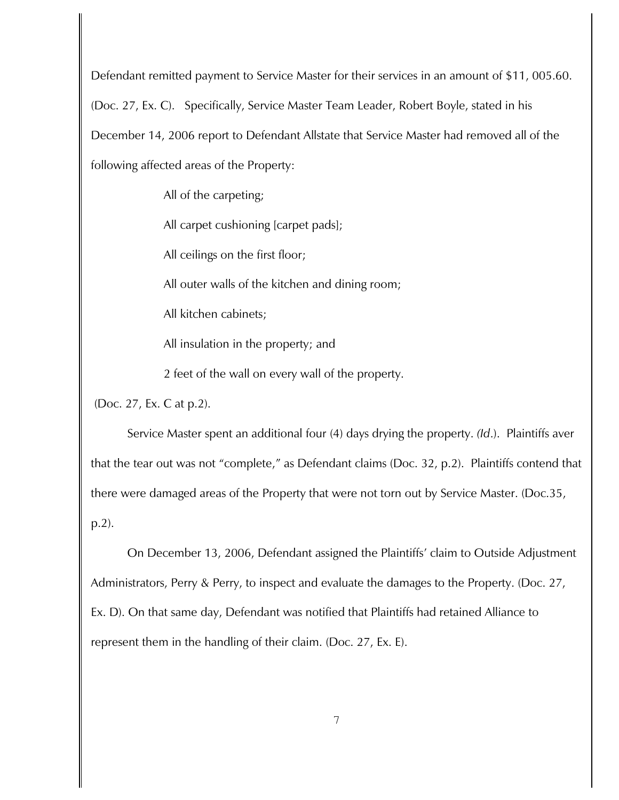Defendant remitted payment to Service Master for their services in an amount of \$11, 005.60. (Doc. 27, Ex. C). Specifically, Service Master Team Leader, Robert Boyle, stated in his December 14, 2006 report to Defendant Allstate that Service Master had removed all of the following affected areas of the Property:

All of the carpeting;

All carpet cushioning [carpet pads];

All ceilings on the first floor;

All outer walls of the kitchen and dining room;

All kitchen cabinets;

All insulation in the property; and

2 feet of the wall on every wall of the property.

(Doc. 27, Ex. C at p.2).

Service Master spent an additional four (4) days drying the property. *(Id*.). Plaintiffs aver that the tear out was not "complete," as Defendant claims (Doc. 32, p.2). Plaintiffs contend that there were damaged areas of the Property that were not torn out by Service Master. (Doc.35, p.2).

On December 13, 2006, Defendant assigned the Plaintiffs' claim to Outside Adjustment Administrators, Perry & Perry, to inspect and evaluate the damages to the Property. (Doc. 27, Ex. D). On that same day, Defendant was notified that Plaintiffs had retained Alliance to represent them in the handling of their claim. (Doc. 27, Ex. E).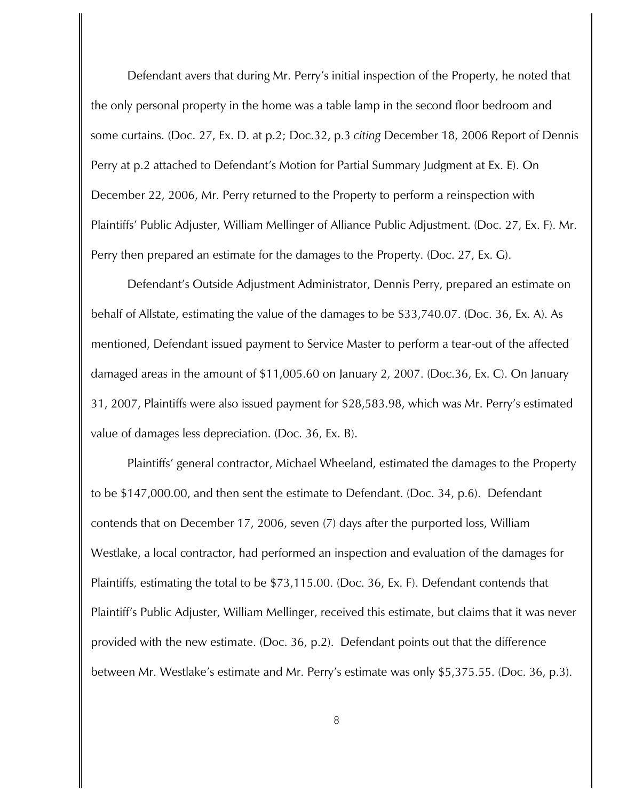Defendant avers that during Mr. Perry's initial inspection of the Property, he noted that the only personal property in the home was a table lamp in the second floor bedroom and some curtains. (Doc. 27, Ex. D. at p.2; Doc.32, p.3 *citing* December 18, 2006 Report of Dennis Perry at p.2 attached to Defendant's Motion for Partial Summary Judgment at Ex. E). On December 22, 2006, Mr. Perry returned to the Property to perform a reinspection with Plaintiffs' Public Adjuster, William Mellinger of Alliance Public Adjustment. (Doc. 27, Ex. F). Mr. Perry then prepared an estimate for the damages to the Property. (Doc. 27, Ex. G).

Defendant's Outside Adjustment Administrator, Dennis Perry, prepared an estimate on behalf of Allstate, estimating the value of the damages to be \$33,740.07. (Doc. 36, Ex. A). As mentioned, Defendant issued payment to Service Master to perform a tear-out of the affected damaged areas in the amount of \$11,005.60 on January 2, 2007. (Doc.36, Ex. C). On January 31, 2007, Plaintiffs were also issued payment for \$28,583.98, which was Mr. Perry's estimated value of damages less depreciation. (Doc. 36, Ex. B).

Plaintiffs' general contractor, Michael Wheeland, estimated the damages to the Property to be \$147,000.00, and then sent the estimate to Defendant. (Doc. 34, p.6). Defendant contends that on December 17, 2006, seven (7) days after the purported loss, William Westlake, a local contractor, had performed an inspection and evaluation of the damages for Plaintiffs, estimating the total to be \$73,115.00. (Doc. 36, Ex. F). Defendant contends that Plaintiff's Public Adjuster, William Mellinger, received this estimate, but claims that it was never provided with the new estimate. (Doc. 36, p.2). Defendant points out that the difference between Mr. Westlake's estimate and Mr. Perry's estimate was only \$5,375.55. (Doc. 36, p.3).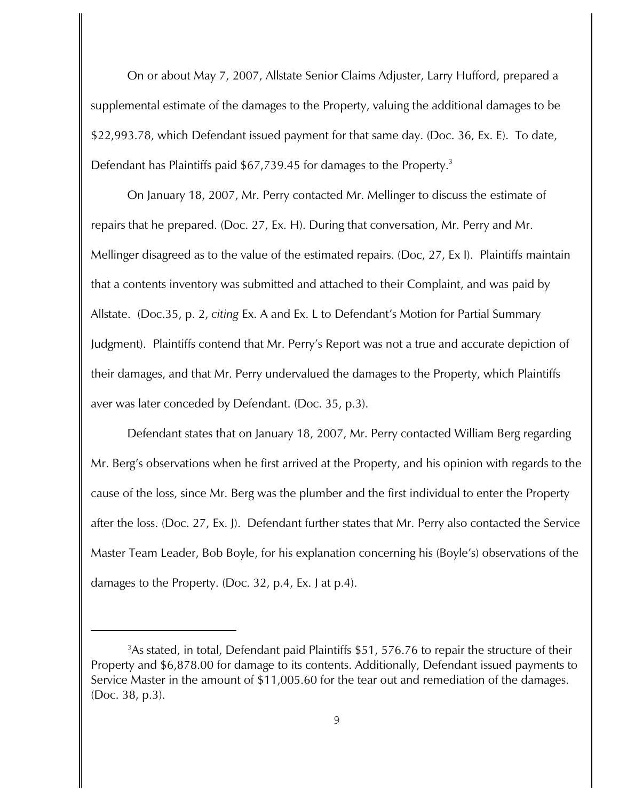On or about May 7, 2007, Allstate Senior Claims Adjuster, Larry Hufford, prepared a supplemental estimate of the damages to the Property, valuing the additional damages to be \$22,993.78, which Defendant issued payment for that same day. (Doc. 36, Ex. E). To date, Defendant has Plaintiffs paid  $$67,739.45$  for damages to the Property.<sup>3</sup>

On January 18, 2007, Mr. Perry contacted Mr. Mellinger to discuss the estimate of repairs that he prepared. (Doc. 27, Ex. H). During that conversation, Mr. Perry and Mr. Mellinger disagreed as to the value of the estimated repairs. (Doc, 27, Ex I). Plaintiffs maintain that a contents inventory was submitted and attached to their Complaint, and was paid by Allstate. (Doc.35, p. 2, *citing* Ex. A and Ex. L to Defendant's Motion for Partial Summary Judgment). Plaintiffs contend that Mr. Perry's Report was not a true and accurate depiction of their damages, and that Mr. Perry undervalued the damages to the Property, which Plaintiffs aver was later conceded by Defendant. (Doc. 35, p.3).

Defendant states that on January 18, 2007, Mr. Perry contacted William Berg regarding Mr. Berg's observations when he first arrived at the Property, and his opinion with regards to the cause of the loss, since Mr. Berg was the plumber and the first individual to enter the Property after the loss. (Doc. 27, Ex. J). Defendant further states that Mr. Perry also contacted the Service Master Team Leader, Bob Boyle, for his explanation concerning his (Boyle's) observations of the damages to the Property. (Doc. 32, p.4, Ex. J at p.4).

<sup>&</sup>lt;sup>3</sup> As stated, in total, Defendant paid Plaintiffs  $$51, 576.76$  to repair the structure of their Property and \$6,878.00 for damage to its contents. Additionally, Defendant issued payments to Service Master in the amount of \$11,005.60 for the tear out and remediation of the damages. (Doc. 38, p.3).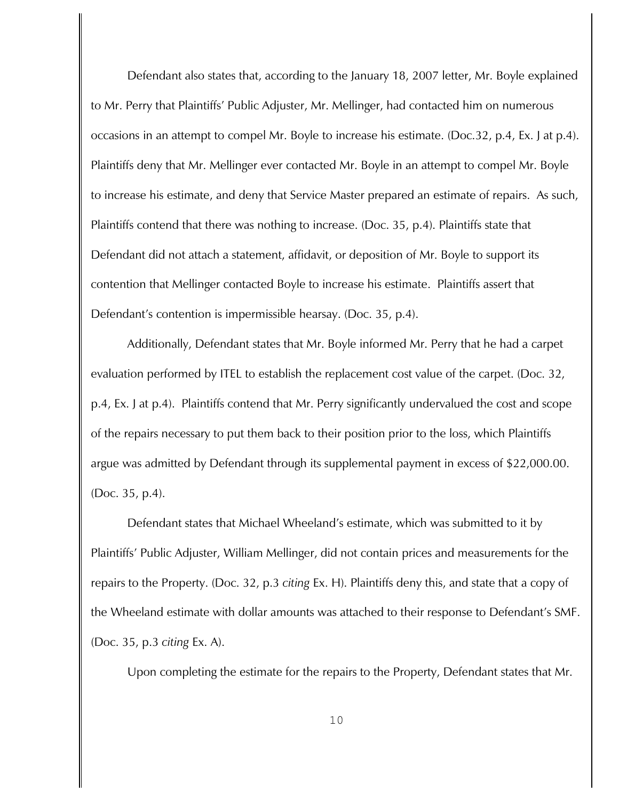Defendant also states that, according to the January 18, 2007 letter, Mr. Boyle explained to Mr. Perry that Plaintiffs' Public Adjuster, Mr. Mellinger, had contacted him on numerous occasions in an attempt to compel Mr. Boyle to increase his estimate. (Doc.32, p.4, Ex. J at p.4). Plaintiffs deny that Mr. Mellinger ever contacted Mr. Boyle in an attempt to compel Mr. Boyle to increase his estimate, and deny that Service Master prepared an estimate of repairs. As such, Plaintiffs contend that there was nothing to increase. (Doc. 35, p.4). Plaintiffs state that Defendant did not attach a statement, affidavit, or deposition of Mr. Boyle to support its contention that Mellinger contacted Boyle to increase his estimate. Plaintiffs assert that Defendant's contention is impermissible hearsay. (Doc. 35, p.4).

Additionally, Defendant states that Mr. Boyle informed Mr. Perry that he had a carpet evaluation performed by ITEL to establish the replacement cost value of the carpet. (Doc. 32, p.4, Ex. J at p.4). Plaintiffs contend that Mr. Perry significantly undervalued the cost and scope of the repairs necessary to put them back to their position prior to the loss, which Plaintiffs argue was admitted by Defendant through its supplemental payment in excess of \$22,000.00. (Doc. 35, p.4).

Defendant states that Michael Wheeland's estimate, which was submitted to it by Plaintiffs' Public Adjuster, William Mellinger, did not contain prices and measurements for the repairs to the Property. (Doc. 32, p.3 *citing* Ex. H). Plaintiffs deny this, and state that a copy of the Wheeland estimate with dollar amounts was attached to their response to Defendant's SMF. (Doc. 35, p.3 *citing* Ex. A).

Upon completing the estimate for the repairs to the Property, Defendant states that Mr.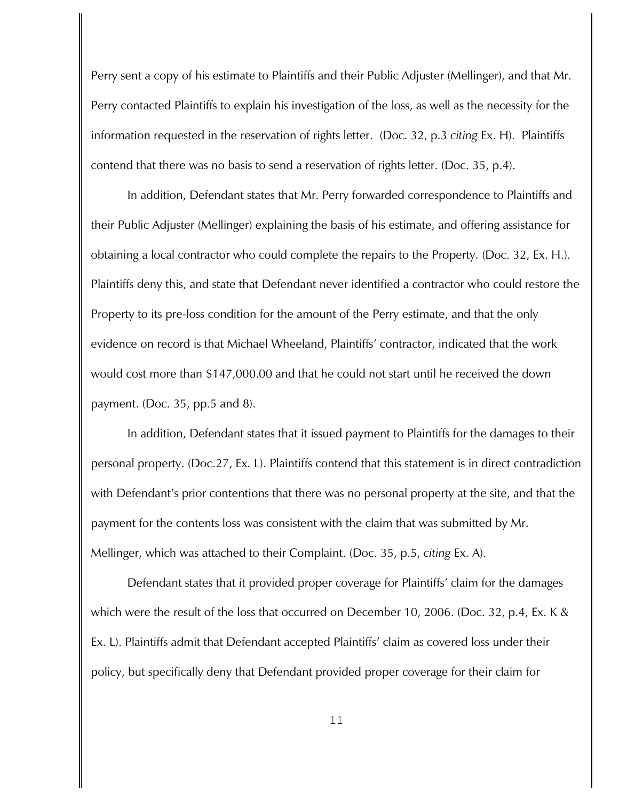Perry sent a copy of his estimate to Plaintiffs and their Public Adjuster (Mellinger), and that Mr. Perry contacted Plaintiffs to explain his investigation of the loss, as well as the necessity for the information requested in the reservation of rights letter. (Doc. 32, p.3 *citing* Ex. H). Plaintiffs contend that there was no basis to send a reservation of rights letter. (Doc. 35, p.4).

In addition, Defendant states that Mr. Perry forwarded correspondence to Plaintiffs and their Public Adjuster (Mellinger) explaining the basis of his estimate, and offering assistance for obtaining a local contractor who could complete the repairs to the Property. (Doc. 32, Ex. H.). Plaintiffs deny this, and state that Defendant never identified a contractor who could restore the Property to its pre-loss condition for the amount of the Perry estimate, and that the only evidence on record is that Michael Wheeland, Plaintiffs' contractor, indicated that the work would cost more than \$147,000.00 and that he could not start until he received the down payment. (Doc. 35, pp.5 and 8).

In addition, Defendant states that it issued payment to Plaintiffs for the damages to their personal property. (Doc.27, Ex. L). Plaintiffs contend that this statement is in direct contradiction with Defendant's prior contentions that there was no personal property at the site, and that the payment for the contents loss was consistent with the claim that was submitted by Mr. Mellinger, which was attached to their Complaint. (Doc. 35, p.5, *citing* Ex. A).

Defendant states that it provided proper coverage for Plaintiffs' claim for the damages which were the result of the loss that occurred on December 10, 2006. (Doc. 32, p.4, Ex. K & Ex. L). Plaintiffs admit that Defendant accepted Plaintiffs' claim as covered loss under their policy, but specifically deny that Defendant provided proper coverage for their claim for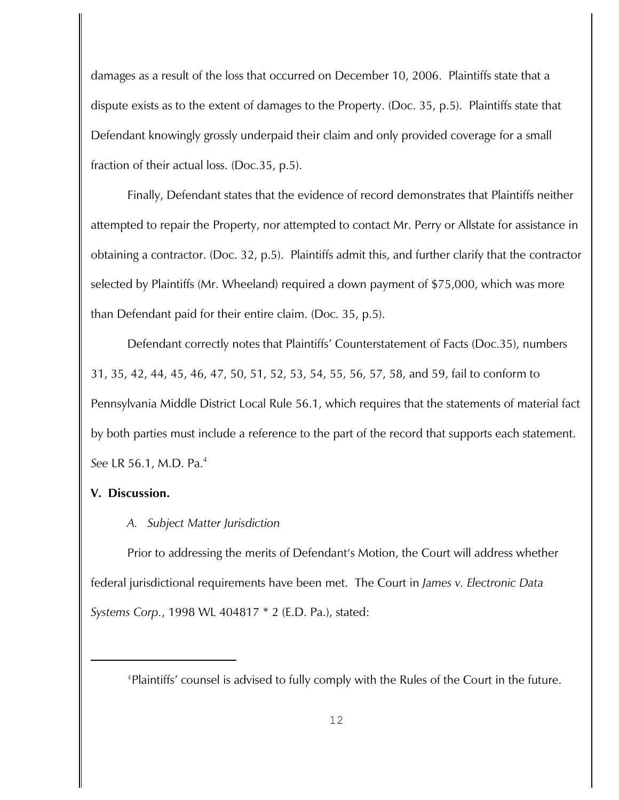damages as a result of the loss that occurred on December 10, 2006. Plaintiffs state that a dispute exists as to the extent of damages to the Property. (Doc. 35, p.5). Plaintiffs state that Defendant knowingly grossly underpaid their claim and only provided coverage for a small fraction of their actual loss. (Doc.35, p.5).

Finally, Defendant states that the evidence of record demonstrates that Plaintiffs neither attempted to repair the Property, nor attempted to contact Mr. Perry or Allstate for assistance in obtaining a contractor. (Doc. 32, p.5). Plaintiffs admit this, and further clarify that the contractor selected by Plaintiffs (Mr. Wheeland) required a down payment of \$75,000, which was more than Defendant paid for their entire claim. (Doc. 35, p.5).

Defendant correctly notes that Plaintiffs' Counterstatement of Facts (Doc.35), numbers 31, 35, 42, 44, 45, 46, 47, 50, 51, 52, 53, 54, 55, 56, 57, 58, and 59, fail to conform to Pennsylvania Middle District Local Rule 56.1, which requires that the statements of material fact by both parties must include a reference to the part of the record that supports each statement. *See* LR 56.1, M.D. Pa. 4

## **V. Discussion.**

## *A. Subject Matter Jurisdiction*

Prior to addressing the merits of Defendant's Motion, the Court will address whether federal jurisdictional requirements have been met. The Court in *James v. Electronic Data Systems Corp.*, 1998 WL 404817 \* 2 (E.D. Pa.), stated:

<sup>&</sup>lt;sup>4</sup>Plaintiffs' counsel is advised to fully comply with the Rules of the Court in the future.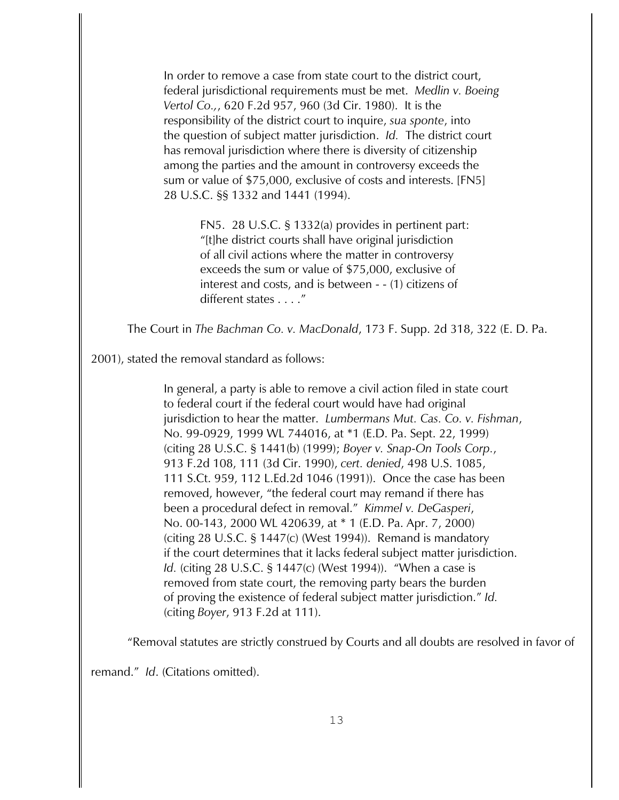In order to remove a case from state court to the district court, federal jurisdictional requirements must be met. *Medlin v. Boeing Vertol Co.,*, 620 F.2d 957, 960 (3d Cir. 1980). It is the responsibility of the district court to inquire, *sua sponte*, into the question of subject matter jurisdiction. *Id.* The district court has removal jurisdiction where there is diversity of citizenship among the parties and the amount in controversy exceeds the sum or value of \$75,000, exclusive of costs and interests. [FN5] 28 U.S.C. §§ 1332 and 1441 (1994).

> FN5. 28 U.S.C. § 1332(a) provides in pertinent part: "[t]he district courts shall have original jurisdiction of all civil actions where the matter in controversy exceeds the sum or value of \$75,000, exclusive of interest and costs, and is between - - (1) citizens of different states . . . ."

The Court in *The Bachman Co. v. MacDonald*, 173 F. Supp. 2d 318, 322 (E. D. Pa.

2001), stated the removal standard as follows:

In general, a party is able to remove a civil action filed in state court to federal court if the federal court would have had original jurisdiction to hear the matter. *Lumbermans Mut. Cas. Co. v. Fishman*, No. 99-0929, 1999 WL 744016, at \*1 (E.D. Pa. Sept. 22, 1999) (citing 28 U.S.C. § 1441(b) (1999); *Boyer v. Snap-On Tools Corp.*, 913 F.2d 108, 111 (3d Cir. 1990), *cert. denied*, 498 U.S. 1085, 111 S.Ct. 959, 112 L.Ed.2d 1046 (1991)). Once the case has been removed, however, "the federal court may remand if there has been a procedural defect in removal." *Kimmel v. DeGasperi*, No. 00-143, 2000 WL 420639, at \* 1 (E.D. Pa. Apr. 7, 2000) (citing 28 U.S.C. § 1447(c) (West 1994)). Remand is mandatory if the court determines that it lacks federal subject matter jurisdiction. *Id.* (citing 28 U.S.C. § 1447(c) (West 1994)). "When a case is removed from state court, the removing party bears the burden of proving the existence of federal subject matter jurisdiction." *Id.* (citing *Boyer*, 913 F.2d at 111).

"Removal statutes are strictly construed by Courts and all doubts are resolved in favor of

remand." *Id*. (Citations omitted).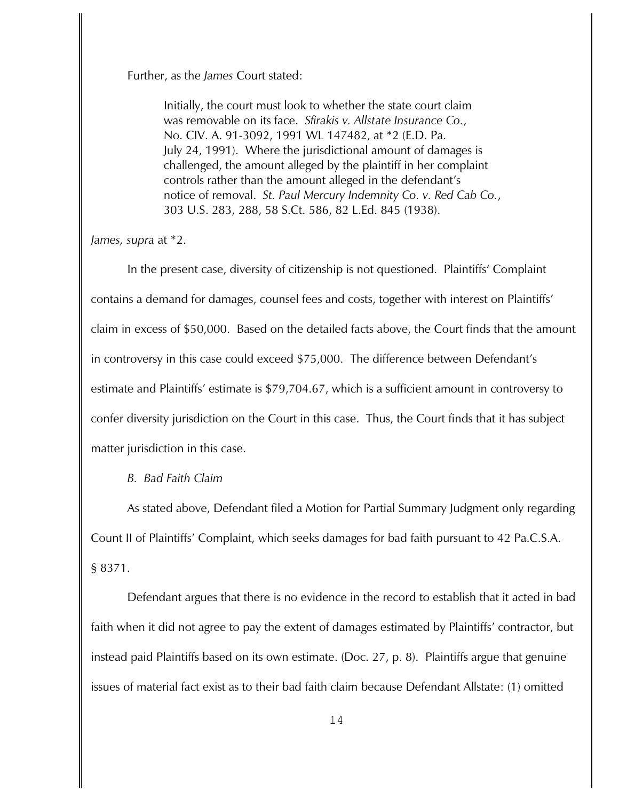Further, as the *James* Court stated:

Initially, the court must look to whether the state court claim was removable on its face. *Sfirakis v. Allstate Insurance Co.*, No. CIV. A. 91-3092, 1991 WL 147482, at \*2 (E.D. Pa. July 24, 1991). Where the jurisdictional amount of damages is challenged, the amount alleged by the plaintiff in her complaint controls rather than the amount alleged in the defendant's notice of removal. *St. Paul Mercury Indemnity Co. v. Red Cab Co.*, 303 U.S. 283, 288, 58 S.Ct. 586, 82 L.Ed. 845 (1938).

*James, supra* at \*2.

In the present case, diversity of citizenship is not questioned. Plaintiffs' Complaint contains a demand for damages, counsel fees and costs, together with interest on Plaintiffs' claim in excess of \$50,000. Based on the detailed facts above, the Court finds that the amount in controversy in this case could exceed \$75,000. The difference between Defendant's estimate and Plaintiffs' estimate is \$79,704.67, which is a sufficient amount in controversy to confer diversity jurisdiction on the Court in this case. Thus, the Court finds that it has subject matter jurisdiction in this case.

*B. Bad Faith Claim*

As stated above, Defendant filed a Motion for Partial Summary Judgment only regarding Count II of Plaintiffs' Complaint, which seeks damages for bad faith pursuant to 42 Pa.C.S.A. § 8371.

Defendant argues that there is no evidence in the record to establish that it acted in bad faith when it did not agree to pay the extent of damages estimated by Plaintiffs' contractor, but instead paid Plaintiffs based on its own estimate. (Doc. 27, p. 8). Plaintiffs argue that genuine issues of material fact exist as to their bad faith claim because Defendant Allstate: (1) omitted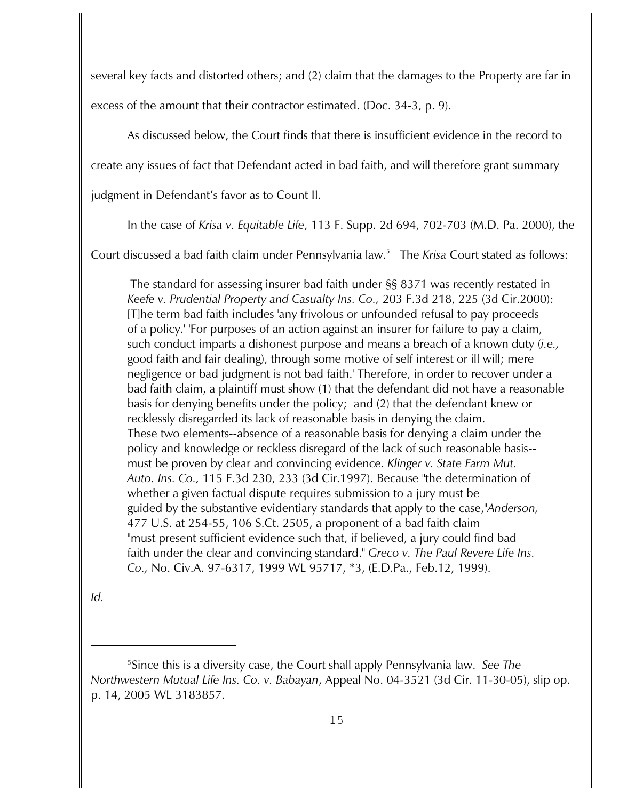several key facts and distorted others; and (2) claim that the damages to the Property are far in

excess of the amount that their contractor estimated. (Doc. 34-3, p. 9).

As discussed below, the Court finds that there is insufficient evidence in the record to

create any issues of fact that Defendant acted in bad faith, and will therefore grant summary

judgment in Defendant's favor as to Count II.

In the case of *Krisa v. Equitable Life*, 113 F. Supp. 2d 694, 702-703 (M.D. Pa. 2000), the

Court discussed a bad faith claim under Pennsylvania law.<sup>5</sup> The *Krisa* Court stated as follows:

 The standard for assessing insurer bad faith under §§ 8371 was recently restated in *Keefe v. Prudential Property and Casualty Ins. Co.,* 203 F.3d 218, 225 (3d Cir.2000): [T]he term bad faith includes 'any frivolous or unfounded refusal to pay proceeds of a policy.' 'For purposes of an action against an insurer for failure to pay a claim, such conduct imparts a dishonest purpose and means a breach of a known duty (*i.e.,* good faith and fair dealing), through some motive of self interest or ill will; mere negligence or bad judgment is not bad faith.' Therefore, in order to recover under a bad faith claim, a plaintiff must show (1) that the defendant did not have a reasonable basis for denying benefits under the policy; and (2) that the defendant knew or recklessly disregarded its lack of reasonable basis in denying the claim. These two elements--absence of a reasonable basis for denying a claim under the policy and knowledge or reckless disregard of the lack of such reasonable basis- must be proven by clear and convincing evidence. *Klinger v. State Farm Mut. Auto. Ins. Co.,* 115 F.3d 230, 233 (3d Cir.1997). Because "the determination of whether a given factual dispute requires submission to a jury must be guided by the substantive evidentiary standards that apply to the case,"*Anderson,* 477 U.S. at 254-55, 106 S.Ct. 2505, a proponent of a bad faith claim "must present sufficient evidence such that, if believed, a jury could find bad faith under the clear and convincing standard." *Greco v. The Paul Revere Life Ins. Co.,* No. Civ.A. 97-6317, 1999 WL 95717, \*3, (E.D.Pa., Feb.12, 1999).

*Id.*

Since this is a diversity case, the Court shall apply Pennsylvania law. *See The* <sup>5</sup> *Northwestern Mutual Life Ins. Co. v. Babayan*, Appeal No. 04-3521 (3d Cir. 11-30-05), slip op. p. 14, 2005 WL 3183857.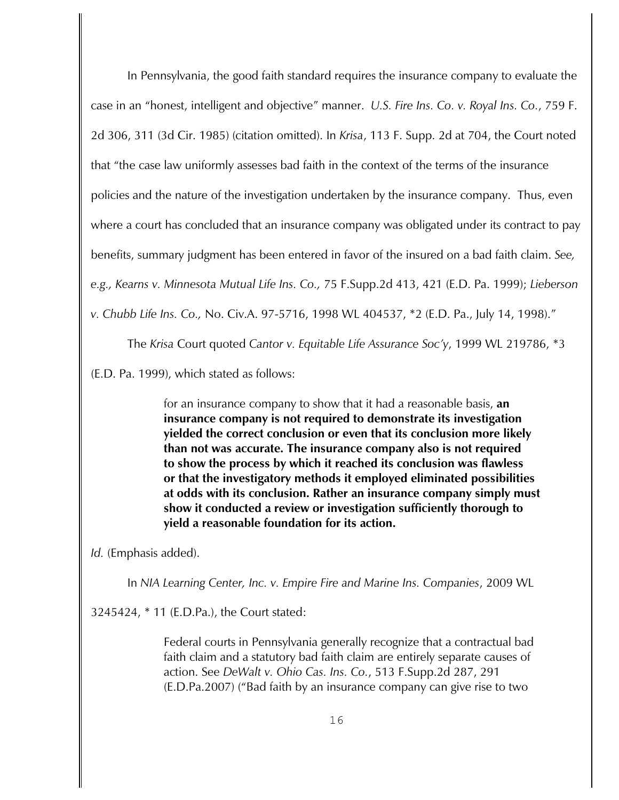In Pennsylvania, the good faith standard requires the insurance company to evaluate the case in an "honest, intelligent and objective" manner. *U.S. Fire Ins. Co. v. Royal Ins. Co.*, 759 F. 2d 306, 311 (3d Cir. 1985) (citation omitted). In *Krisa*, 113 F. Supp. 2d at 704, the Court noted that "the case law uniformly assesses bad faith in the context of the terms of the insurance policies and the nature of the investigation undertaken by the insurance company. Thus, even where a court has concluded that an insurance company was obligated under its contract to pay benefits, summary judgment has been entered in favor of the insured on a bad faith claim. *See, e.g., Kearns v. Minnesota Mutual Life Ins. Co.,* 75 F.Supp.2d 413, 421 (E.D. Pa. 1999); *Lieberson v. Chubb Life Ins. Co.,* No. Civ.A. 97-5716, 1998 WL 404537, \*2 (E.D. Pa., July 14, 1998)."

The *Krisa* Court quoted *Cantor v. Equitable Life Assurance Soc'y*, 1999 WL 219786, \*3

(E.D. Pa. 1999), which stated as follows:

for an insurance company to show that it had a reasonable basis, **an insurance company is not required to demonstrate its investigation yielded the correct conclusion or even that its conclusion more likely than not was accurate. The insurance company also is not required to show the process by which it reached its conclusion was flawless or that the investigatory methods it employed eliminated possibilities at odds with its conclusion. Rather an insurance company simply must show it conducted a review or investigation sufficiently thorough to yield a reasonable foundation for its action.** 

*Id.* (Emphasis added).

In *NIA Learning Center, Inc. v. Empire Fire and Marine Ins. Companies*, 2009 WL

3245424, \* 11 (E.D.Pa.), the Court stated:

Federal courts in Pennsylvania generally recognize that a contractual bad faith claim and a statutory bad faith claim are entirely separate causes of action. See *DeWalt v. Ohio Cas. Ins. Co.*, 513 F.Supp.2d 287, 291 (E.D.Pa.2007) ("Bad faith by an insurance company can give rise to two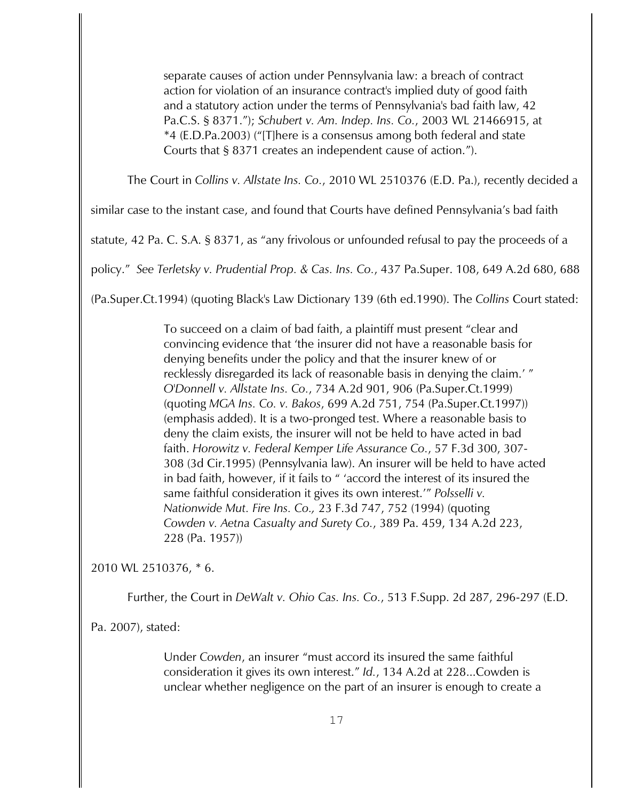separate causes of action under Pennsylvania law: a breach of contract action for violation of an insurance contract's implied duty of good faith and a statutory action under the terms of Pennsylvania's bad faith law, 42 Pa.C.S. § 8371."); *Schubert v. Am. Indep. Ins. Co.*, 2003 WL 21466915, at \*4 (E.D.Pa.2003) ("[T]here is a consensus among both federal and state Courts that § 8371 creates an independent cause of action.").

The Court in *Collins v. Allstate Ins. Co.*, 2010 WL 2510376 (E.D. Pa.), recently decided a

similar case to the instant case, and found that Courts have defined Pennsylvania's bad faith

statute, 42 Pa. C. S.A. § 8371, as "any frivolous or unfounded refusal to pay the proceeds of a

policy." *See Terletsky v. Prudential Prop. & Cas. Ins. Co.*, 437 Pa.Super. 108, 649 A.2d 680, 688

(Pa.Super.Ct.1994) (quoting Black's Law Dictionary 139 (6th ed.1990). The *Collins* Court stated:

To succeed on a claim of bad faith, a plaintiff must present "clear and convincing evidence that 'the insurer did not have a reasonable basis for denying benefits under the policy and that the insurer knew of or recklessly disregarded its lack of reasonable basis in denying the claim.' " *O'Donnell v. Allstate Ins. Co.*, 734 A.2d 901, 906 (Pa.Super.Ct.1999) (quoting *MGA Ins. Co. v. Bakos*, 699 A.2d 751, 754 (Pa.Super.Ct.1997)) (emphasis added). It is a two-pronged test. Where a reasonable basis to deny the claim exists, the insurer will not be held to have acted in bad faith. *Horowitz v. Federal Kemper Life Assurance Co.*, 57 F.3d 300, 307- 308 (3d Cir.1995) (Pennsylvania law). An insurer will be held to have acted in bad faith, however, if it fails to " 'accord the interest of its insured the same faithful consideration it gives its own interest.'" *Polsselli v. Nationwide Mut. Fire Ins. Co.,* 23 F.3d 747, 752 (1994) (quoting *Cowden v. Aetna Casualty and Surety Co.*, 389 Pa. 459, 134 A.2d 223, 228 (Pa. 1957))

2010 WL 2510376, \* 6.

Further, the Court in *DeWalt v. Ohio Cas. Ins. Co.*, 513 F.Supp. 2d 287, 296-297 (E.D.

Pa. 2007), stated:

Under *Cowden*, an insurer "must accord its insured the same faithful consideration it gives its own interest." *Id.*, 134 A.2d at 228...Cowden is unclear whether negligence on the part of an insurer is enough to create a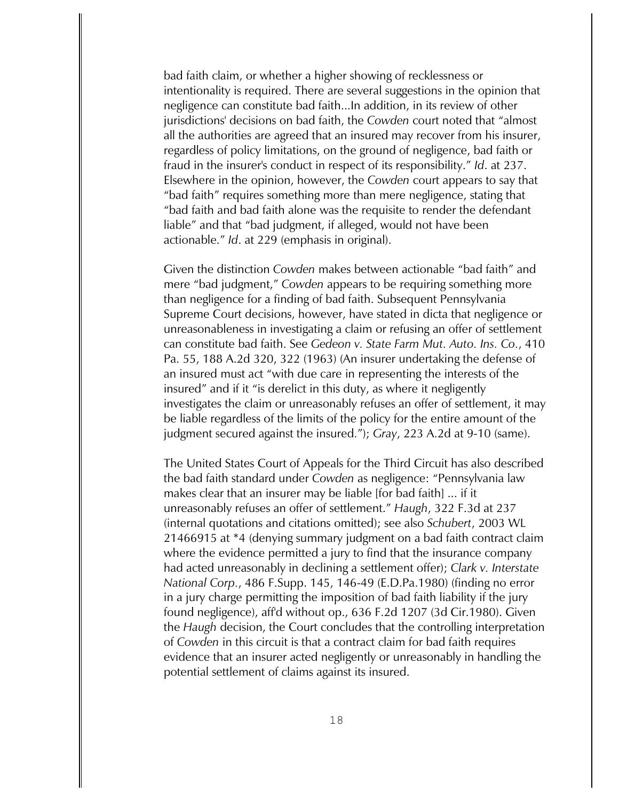bad faith claim, or whether a higher showing of recklessness or intentionality is required. There are several suggestions in the opinion that negligence can constitute bad faith...In addition, in its review of other jurisdictions' decisions on bad faith, the *Cowden* court noted that "almost all the authorities are agreed that an insured may recover from his insurer, regardless of policy limitations, on the ground of negligence, bad faith or fraud in the insurer's conduct in respect of its responsibility." *Id*. at 237. Elsewhere in the opinion, however, the *Cowden* court appears to say that "bad faith" requires something more than mere negligence, stating that "bad faith and bad faith alone was the requisite to render the defendant liable" and that "bad judgment, if alleged, would not have been actionable." *Id*. at 229 (emphasis in original).

Given the distinction *Cowden* makes between actionable "bad faith" and mere "bad judgment," *Cowden* appears to be requiring something more than negligence for a finding of bad faith. Subsequent Pennsylvania Supreme Court decisions, however, have stated in dicta that negligence or unreasonableness in investigating a claim or refusing an offer of settlement can constitute bad faith. See *Gedeon v. State Farm Mut. Auto. Ins. Co.*, 410 Pa. 55, 188 A.2d 320, 322 (1963) (An insurer undertaking the defense of an insured must act "with due care in representing the interests of the insured" and if it "is derelict in this duty, as where it negligently investigates the claim or unreasonably refuses an offer of settlement, it may be liable regardless of the limits of the policy for the entire amount of the judgment secured against the insured."); *Gray*, 223 A.2d at 9-10 (same).

The United States Court of Appeals for the Third Circuit has also described the bad faith standard under *Cowden* as negligence: "Pennsylvania law makes clear that an insurer may be liable [for bad faith] ... if it unreasonably refuses an offer of settlement." *Haugh*, 322 F.3d at 237 (internal quotations and citations omitted); see also *Schubert*, 2003 WL 21466915 at \*4 (denying summary judgment on a bad faith contract claim where the evidence permitted a jury to find that the insurance company had acted unreasonably in declining a settlement offer); *Clark v. Interstate National Corp.*, 486 F.Supp. 145, 146-49 (E.D.Pa.1980) (finding no error in a jury charge permitting the imposition of bad faith liability if the jury found negligence), aff'd without op., 636 F.2d 1207 (3d Cir.1980). Given the *Haugh* decision, the Court concludes that the controlling interpretation of *Cowden* in this circuit is that a contract claim for bad faith requires evidence that an insurer acted negligently or unreasonably in handling the potential settlement of claims against its insured.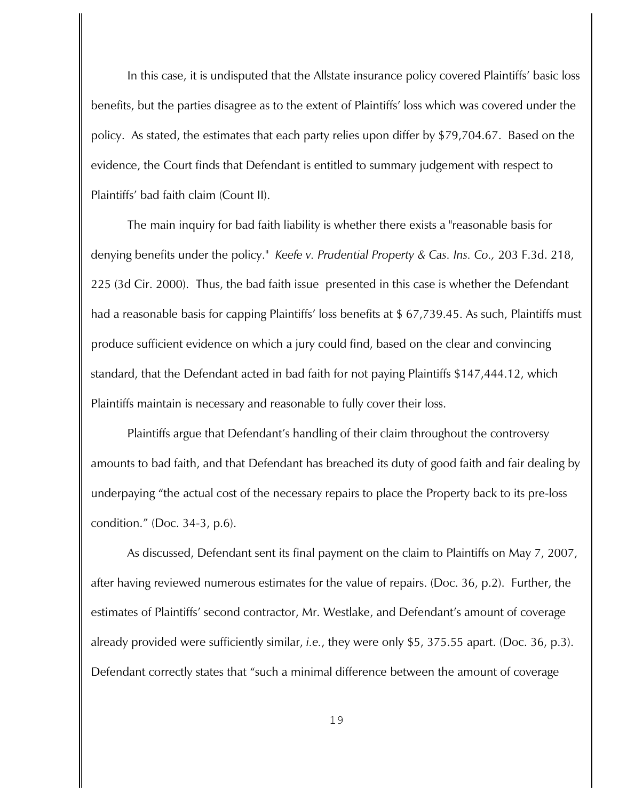In this case, it is undisputed that the Allstate insurance policy covered Plaintiffs' basic loss benefits, but the parties disagree as to the extent of Plaintiffs' loss which was covered under the policy. As stated, the estimates that each party relies upon differ by \$79,704.67. Based on the evidence, the Court finds that Defendant is entitled to summary judgement with respect to Plaintiffs' bad faith claim (Count II).

The main inquiry for bad faith liability is whether there exists a "reasonable basis for denying benefits under the policy." *Keefe v. Prudential Property & Cas. Ins. Co.,* 203 F.3d. 218, 225 (3d Cir. 2000). Thus, the bad faith issue presented in this case is whether the Defendant had a reasonable basis for capping Plaintiffs' loss benefits at \$ 67,739.45. As such, Plaintiffs must produce sufficient evidence on which a jury could find, based on the clear and convincing standard, that the Defendant acted in bad faith for not paying Plaintiffs \$147,444.12, which Plaintiffs maintain is necessary and reasonable to fully cover their loss.

Plaintiffs argue that Defendant's handling of their claim throughout the controversy amounts to bad faith, and that Defendant has breached its duty of good faith and fair dealing by underpaying "the actual cost of the necessary repairs to place the Property back to its pre-loss condition." (Doc. 34-3, p.6).

As discussed, Defendant sent its final payment on the claim to Plaintiffs on May 7, 2007, after having reviewed numerous estimates for the value of repairs. (Doc. 36, p.2). Further, the estimates of Plaintiffs' second contractor, Mr. Westlake, and Defendant's amount of coverage already provided were sufficiently similar, *i.e.*, they were only \$5, 375.55 apart. (Doc. 36, p.3). Defendant correctly states that "such a minimal difference between the amount of coverage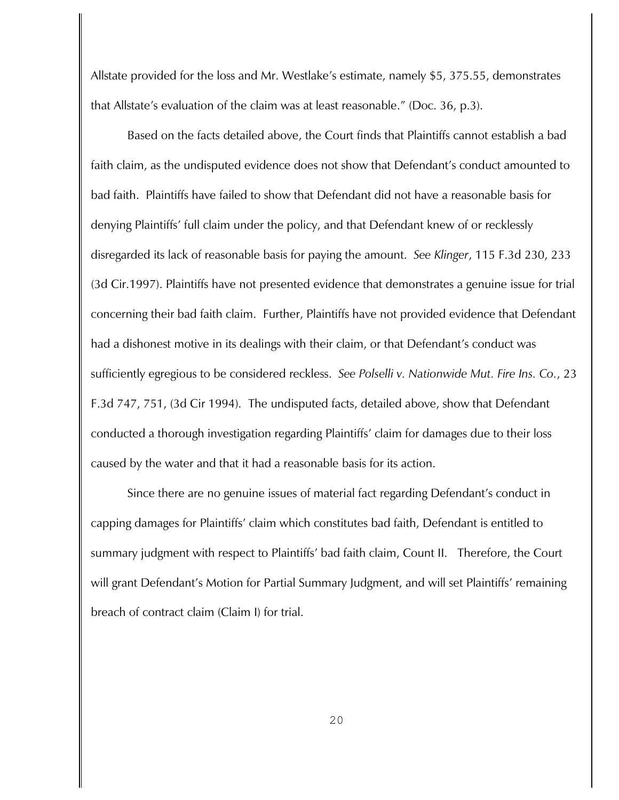Allstate provided for the loss and Mr. Westlake's estimate, namely \$5, 375.55, demonstrates that Allstate's evaluation of the claim was at least reasonable." (Doc. 36, p.3).

Based on the facts detailed above, the Court finds that Plaintiffs cannot establish a bad faith claim, as the undisputed evidence does not show that Defendant's conduct amounted to bad faith. Plaintiffs have failed to show that Defendant did not have a reasonable basis for denying Plaintiffs' full claim under the policy, and that Defendant knew of or recklessly disregarded its lack of reasonable basis for paying the amount. *See Klinger*, 115 F.3d 230, 233 (3d Cir.1997). Plaintiffs have not presented evidence that demonstrates a genuine issue for trial concerning their bad faith claim. Further, Plaintiffs have not provided evidence that Defendant had a dishonest motive in its dealings with their claim, or that Defendant's conduct was sufficiently egregious to be considered reckless. *See Polselli v. Nationwide Mut. Fire Ins. Co.*, 23 F.3d 747, 751, (3d Cir 1994). The undisputed facts, detailed above, show that Defendant conducted a thorough investigation regarding Plaintiffs' claim for damages due to their loss caused by the water and that it had a reasonable basis for its action.

Since there are no genuine issues of material fact regarding Defendant's conduct in capping damages for Plaintiffs' claim which constitutes bad faith, Defendant is entitled to summary judgment with respect to Plaintiffs' bad faith claim, Count II. Therefore, the Court will grant Defendant's Motion for Partial Summary Judgment, and will set Plaintiffs' remaining breach of contract claim (Claim I) for trial.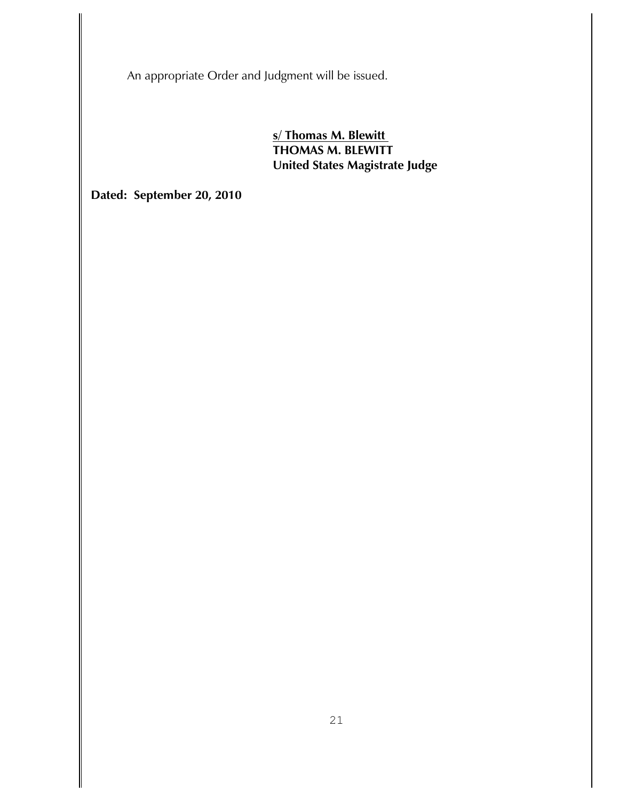An appropriate Order and Judgment will be issued.

**s/ Thomas M. Blewitt THOMAS M. BLEWITT United States Magistrate Judge**

**Dated: September 20, 2010**